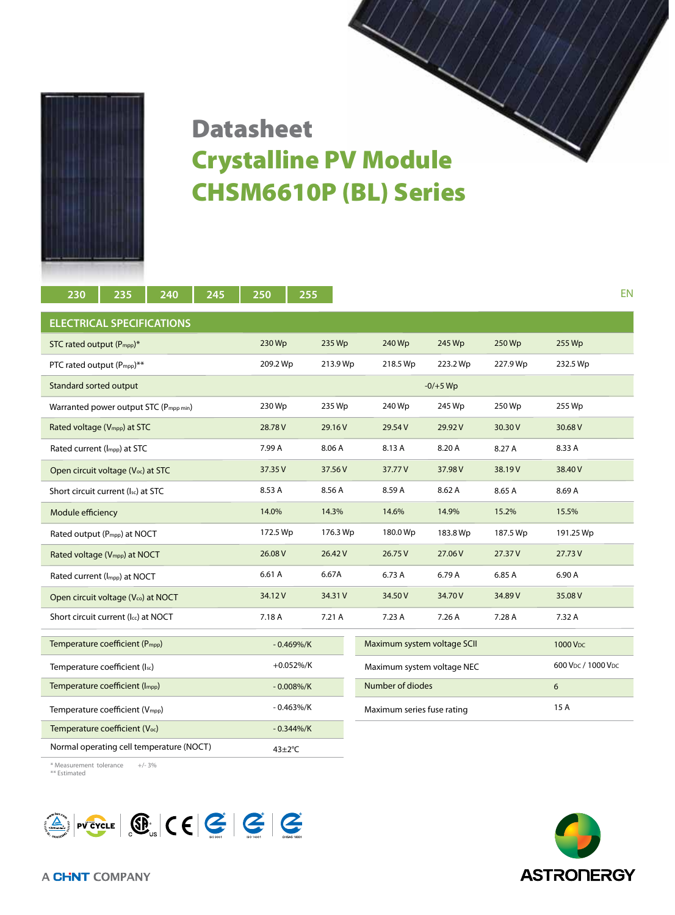

## CHSM6610P (BL) Series Datasheet Crystalline PV Module

| 230                                         | 235 | 240      | 245           | 250      | 255                         |          |          |                      |            |          |          | <b>EN</b> |
|---------------------------------------------|-----|----------|---------------|----------|-----------------------------|----------|----------|----------------------|------------|----------|----------|-----------|
| <b>ELECTRICAL SPECIFICATIONS</b>            |     |          |               |          |                             |          |          |                      |            |          |          |           |
| STC rated output (P <sub>mpp</sub> )*       |     | 230 Wp   |               | 235 Wp   |                             | 240 Wp   | 245 Wp   | 250 Wp               | 255 Wp     |          |          |           |
| PTC rated output (P <sub>mpp</sub> )**      |     |          |               | 209.2 Wp |                             | 213.9 Wp |          | 218.5 Wp             | 223.2 Wp   | 227.9 Wp | 232.5 Wp |           |
| Standard sorted output                      |     |          |               |          |                             |          |          |                      | $-0/+5$ Wp |          |          |           |
| Warranted power output STC (Pmpp min)       |     | 230 Wp   |               | 235 Wp   |                             | 240 Wp   | 245 Wp   | 250 Wp               | 255 Wp     |          |          |           |
| Rated voltage (V <sub>mpp</sub> ) at STC    |     | 28.78V   |               | 29.16 V  |                             | 29.54V   | 29.92V   | 30.30 V              | 30.68 V    |          |          |           |
| Rated current (Impp) at STC                 |     |          |               | 7.99 A   |                             | 8.06 A   |          | 8.13 A               | 8.20 A     | 8.27 A   | 8.33 A   |           |
| Open circuit voltage (Voc) at STC           |     | 37.35V   |               | 37.56 V  |                             | 37.77V   | 37.98V   | 38.19V               | 38.40 V    |          |          |           |
| Short circuit current (Isc) at STC          |     | 8.53 A   |               | 8.56 A   |                             | 8.59 A   | 8.62 A   | 8.65 A               | 8.69 A     |          |          |           |
| Module efficiency                           |     | 14.0%    |               | 14.3%    |                             | 14.6%    | 14.9%    | 15.2%                | 15.5%      |          |          |           |
| Rated output (P <sub>mpp</sub> ) at NOCT    |     | 172.5 Wp |               | 176.3 Wp |                             | 180.0 Wp | 183.8 Wp | 187.5 Wp             | 191.25 Wp  |          |          |           |
| Rated voltage (V <sub>mpp</sub> ) at NOCT   |     | 26.08 V  |               | 26.42 V  |                             | 26.75V   | 27.06 V  | 27.37V               | 27.73V     |          |          |           |
| Rated current (Impp) at NOCT                |     | 6.61 A   |               | 6.67A    |                             | 6.73 A   | 6.79 A   | 6.85 A               | 6.90 A     |          |          |           |
| Open circuit voltage (Vco) at NOCT          |     | 34.12V   |               | 34.31 V  |                             | 34.50V   | 34.70V   | 34.89 V              | 35.08 V    |          |          |           |
| Short circuit current (Icc) at NOCT         |     | 7.18 A   |               | 7.21 A   |                             | 7.23 A   | 7.26 A   | 7.28 A               | 7.32 A     |          |          |           |
| Temperature coefficient (P <sub>mpp</sub> ) |     |          | $-0.469\%/K$  |          | Maximum system voltage SCII |          |          | 1000 V <sub>DC</sub> |            |          |          |           |
| Temperature coefficient (Isc)               |     |          | $+0.052\%/K$  |          | Maximum system voltage NEC  |          |          | 600 Vpc / 1000 Vpc   |            |          |          |           |
| Temperature coefficient (Impp)              |     |          | $-0.008\%/K$  |          | Number of diodes            |          | 6        |                      |            |          |          |           |
| Temperature coefficient (Vmpp)              |     |          | $-0.463\%/K$  |          | Maximum series fuse rating  |          |          | 15 A                 |            |          |          |           |
| Temperature coefficient (Voc)               |     |          | $-0.344\%/K$  |          |                             |          |          |                      |            |          |          |           |
| Normal operating cell temperature (NOCT)    |     |          | $43 \pm 2$ °C |          |                             |          |          |                      |            |          |          |           |

\* Measurement tolerance +/- 3% \*\* Estimated